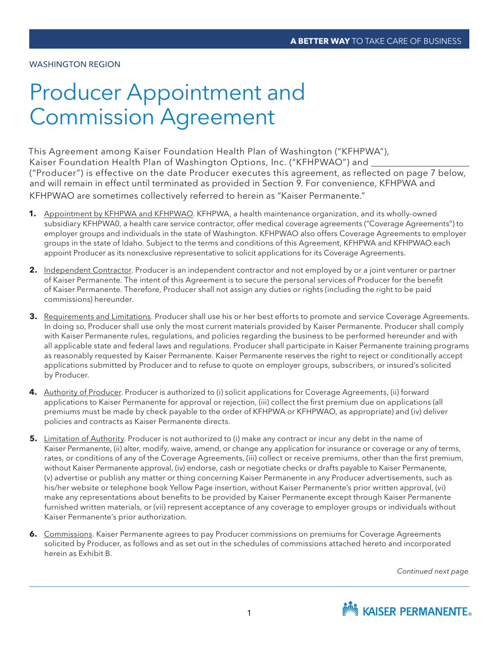#### WASHINGTON REGION

# Producer Appointment and Commission Agreement

This Agreement among Kaiser Foundation Health Plan of Washington ("KFHPWA"), Kaiser Foundation Health Plan of Washington Options, Inc. ("KFHPWAO") and ("Producer") is effective on the date Producer executes this agreement, as reflected on page 7 below, and will remain in effect until terminated as provided in Section 9. For convenience, KFHPWA and KFHPWAO are sometimes collectively referred to herein as "Kaiser Permanente."

- **1.** Appointment by KFHPWA and KFHPWAO. KFHPWA, a health maintenance organization, and its wholly-owned subsidiary KFHPWA0, a health care service contractor, offer medical coverage agreements ("Coverage Agreements") to employer groups and individuals in the state of Washington. KFHPWAO also offers Coverage Agreements to employer groups in the state of Idaho. Subject to the terms and conditions of this Agreement, KFHPWA and KFHPWAO each appoint Producer as its nonexclusive representative to solicit applications for its Coverage Agreements.
- **2.** Independent Contractor. Producer is an independent contractor and not employed by or a joint venturer or partner of Kaiser Permanente. The intent of this Agreement is to secure the personal services of Producer for the benefit of Kaiser Permanente. Therefore, Producer shall not assign any duties or rights (including the right to be paid commissions) hereunder.
- **3.** Requirements and Limitations. Producer shall use his or her best efforts to promote and service Coverage Agreements. In doing so, Producer shall use only the most current materials provided by Kaiser Permanente. Producer shall comply with Kaiser Permanente rules, regulations, and policies regarding the business to be performed hereunder and with all applicable state and federal laws and regulations. Producer shall participate in Kaiser Permanente training programs as reasonably requested by Kaiser Permanente. Kaiser Permanente reserves the right to reject or conditionally accept applications submitted by Producer and to refuse to quote on employer groups, subscribers, or insured's solicited by Producer.
- **4.** Authority of Producer. Producer is authorized to (i) solicit applications for Coverage Agreements, (ii) forward applications to Kaiser Permanente for approval or rejection, (iii) collect the first premium due on applications (all premiums must be made by check payable to the order of KFHPWA or KFHPWAO, as appropriate) and (iv) deliver policies and contracts as Kaiser Permanente directs.
- **5.** Limitation of Authority. Producer is not authorized to (i) make any contract or incur any debt in the name of Kaiser Permanente, (ii) alter, modify, waive, amend, or change any application for insurance or coverage or any of terms, rates, or conditions of any of the Coverage Agreements, (iii) collect or receive premiums, other than the first premium, without Kaiser Permanente approval, (iv) endorse, cash or negotiate checks or drafts payable to Kaiser Permanente, (v) advertise or publish any matter or thing concerning Kaiser Permanente in any Producer advertisements, such as his/her website or telephone book Yellow Page insertion, without Kaiser Permanente's prior written approval, (vi) make any representations about benefits to be provided by Kaiser Permanente except through Kaiser Permanente furnished written materials, or (vii) represent acceptance of any coverage to employer groups or individuals without Kaiser Permanente's prior authorization.
- **6.** Commissions. Kaiser Permanente agrees to pay Producer commissions on premiums for Coverage Agreements solicited by Producer, as follows and as set out in the schedules of commissions attached hereto and incorporated herein as Exhibit B.

*Continued next page*

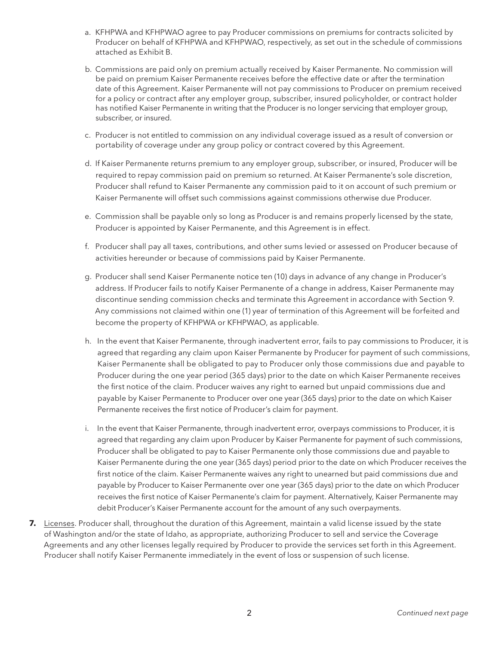- a. KFHPWA and KFHPWAO agree to pay Producer commissions on premiums for contracts solicited by Producer on behalf of KFHPWA and KFHPWAO, respectively, as set out in the schedule of commissions attached as Exhibit B.
- b. Commissions are paid only on premium actually received by Kaiser Permanente. No commission will be paid on premium Kaiser Permanente receives before the effective date or after the termination date of this Agreement. Kaiser Permanente will not pay commissions to Producer on premium received for a policy or contract after any employer group, subscriber, insured policyholder, or contract holder has notified Kaiser Permanente in writing that the Producer is no longer servicing that employer group, subscriber, or insured.
- c. Producer is not entitled to commission on any individual coverage issued as a result of conversion or portability of coverage under any group policy or contract covered by this Agreement.
- d. If Kaiser Permanente returns premium to any employer group, subscriber, or insured, Producer will be required to repay commission paid on premium so returned. At Kaiser Permanente's sole discretion, Producer shall refund to Kaiser Permanente any commission paid to it on account of such premium or Kaiser Permanente will offset such commissions against commissions otherwise due Producer.
- e. Commission shall be payable only so long as Producer is and remains properly licensed by the state, Producer is appointed by Kaiser Permanente, and this Agreement is in effect.
- f. Producer shall pay all taxes, contributions, and other sums levied or assessed on Producer because of activities hereunder or because of commissions paid by Kaiser Permanente.
- g. Producer shall send Kaiser Permanente notice ten (10) days in advance of any change in Producer's address. If Producer fails to notify Kaiser Permanente of a change in address, Kaiser Permanente may discontinue sending commission checks and terminate this Agreement in accordance with Section 9. Any commissions not claimed within one (1) year of termination of this Agreement will be forfeited and become the property of KFHPWA or KFHPWAO, as applicable.
- h. In the event that Kaiser Permanente, through inadvertent error, fails to pay commissions to Producer, it is agreed that regarding any claim upon Kaiser Permanente by Producer for payment of such commissions, Kaiser Permanente shall be obligated to pay to Producer only those commissions due and payable to Producer during the one year period (365 days) prior to the date on which Kaiser Permanente receives the first notice of the claim. Producer waives any right to earned but unpaid commissions due and payable by Kaiser Permanente to Producer over one year (365 days) prior to the date on which Kaiser Permanente receives the first notice of Producer's claim for payment.
- i. In the event that Kaiser Permanente, through inadvertent error, overpays commissions to Producer, it is agreed that regarding any claim upon Producer by Kaiser Permanente for payment of such commissions, Producer shall be obligated to pay to Kaiser Permanente only those commissions due and payable to Kaiser Permanente during the one year (365 days) period prior to the date on which Producer receives the first notice of the claim. Kaiser Permanente waives any right to unearned but paid commissions due and payable by Producer to Kaiser Permanente over one year (365 days) prior to the date on which Producer receives the first notice of Kaiser Permanente's claim for payment. Alternatively, Kaiser Permanente may debit Producer's Kaiser Permanente account for the amount of any such overpayments.
- **7.** Licenses. Producer shall, throughout the duration of this Agreement, maintain a valid license issued by the state of Washington and/or the state of Idaho, as appropriate, authorizing Producer to sell and service the Coverage Agreements and any other licenses legally required by Producer to provide the services set forth in this Agreement. Producer shall notify Kaiser Permanente immediately in the event of loss or suspension of such license.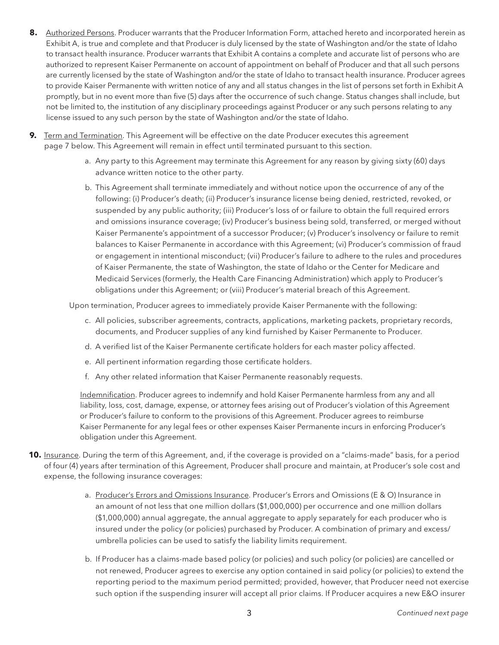- **8.** Authorized Persons. Producer warrants that the Producer Information Form, attached hereto and incorporated herein as Exhibit A, is true and complete and that Producer is duly licensed by the state of Washington and/or the state of Idaho to transact health insurance. Producer warrants that Exhibit A contains a complete and accurate list of persons who are authorized to represent Kaiser Permanente on account of appointment on behalf of Producer and that all such persons are currently licensed by the state of Washington and/or the state of Idaho to transact health insurance. Producer agrees to provide Kaiser Permanente with written notice of any and all status changes in the list of persons set forth in Exhibit A promptly, but in no event more than five (5) days after the occurrence of such change. Status changes shall include, but not be limited to, the institution of any disciplinary proceedings against Producer or any such persons relating to any license issued to any such person by the state of Washington and/or the state of Idaho.
- **9.** Term and Termination. This Agreement will be effective on the date Producer executes this agreement page 7 below. This Agreement will remain in effect until terminated pursuant to this section.
	- a. Any party to this Agreement may terminate this Agreement for any reason by giving sixty (60) days advance written notice to the other party.
	- b. This Agreement shall terminate immediately and without notice upon the occurrence of any of the following: (i) Producer's death; (ii) Producer's insurance license being denied, restricted, revoked, or suspended by any public authority; (iii) Producer's loss of or failure to obtain the full required errors and omissions insurance coverage; (iv) Producer's business being sold, transferred, or merged without Kaiser Permanente's appointment of a successor Producer; (v) Producer's insolvency or failure to remit balances to Kaiser Permanente in accordance with this Agreement; (vi) Producer's commission of fraud or engagement in intentional misconduct; (vii) Producer's failure to adhere to the rules and procedures of Kaiser Permanente, the state of Washington, the state of Idaho or the Center for Medicare and Medicaid Services (formerly, the Health Care Financing Administration) which apply to Producer's obligations under this Agreement; or (viii) Producer's material breach of this Agreement.

Upon termination, Producer agrees to immediately provide Kaiser Permanente with the following:

- c. All policies, subscriber agreements, contracts, applications, marketing packets, proprietary records, documents, and Producer supplies of any kind furnished by Kaiser Permanente to Producer.
- d. A verified list of the Kaiser Permanente certificate holders for each master policy affected.
- e. All pertinent information regarding those certificate holders.
- f. Any other related information that Kaiser Permanente reasonably requests.

Indemnification. Producer agrees to indemnify and hold Kaiser Permanente harmless from any and all liability, loss, cost, damage, expense, or attorney fees arising out of Producer's violation of this Agreement or Producer's failure to conform to the provisions of this Agreement. Producer agrees to reimburse Kaiser Permanente for any legal fees or other expenses Kaiser Permanente incurs in enforcing Producer's obligation under this Agreement.

- **10.** Insurance. During the term of this Agreement, and, if the coverage is provided on a "claims-made" basis, for a period of four (4) years after termination of this Agreement, Producer shall procure and maintain, at Producer's sole cost and expense, the following insurance coverages:
	- a. Producer's Errors and Omissions Insurance. Producer's Errors and Omissions (E & O) Insurance in an amount of not less that one million dollars (\$1,000,000) per occurrence and one million dollars (\$1,000,000) annual aggregate, the annual aggregate to apply separately for each producer who is insured under the policy (or policies) purchased by Producer. A combination of primary and excess/ umbrella policies can be used to satisfy the liability limits requirement.
	- b. If Producer has a claims-made based policy (or policies) and such policy (or policies) are cancelled or not renewed, Producer agrees to exercise any option contained in said policy (or policies) to extend the reporting period to the maximum period permitted; provided, however, that Producer need not exercise such option if the suspending insurer will accept all prior claims. If Producer acquires a new E&O insurer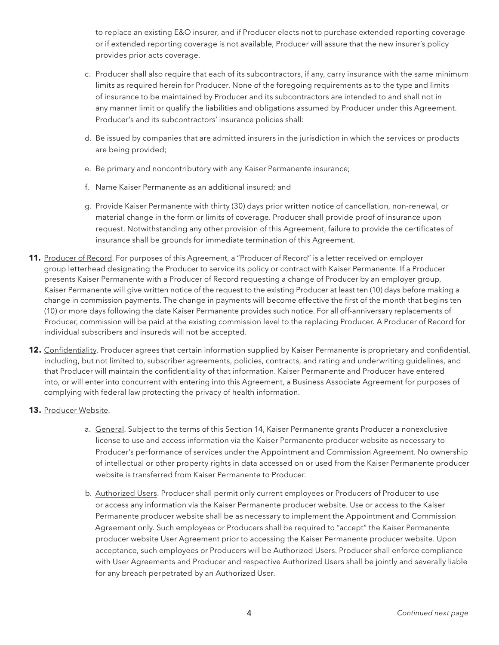to replace an existing E&O insurer, and if Producer elects not to purchase extended reporting coverage or if extended reporting coverage is not available, Producer will assure that the new insurer's policy provides prior acts coverage.

- c. Producer shall also require that each of its subcontractors, if any, carry insurance with the same minimum limits as required herein for Producer. None of the foregoing requirements as to the type and limits of insurance to be maintained by Producer and its subcontractors are intended to and shall not in any manner limit or qualify the liabilities and obligations assumed by Producer under this Agreement. Producer's and its subcontractors' insurance policies shall:
- d. Be issued by companies that are admitted insurers in the jurisdiction in which the services or products are being provided;
- e. Be primary and noncontributory with any Kaiser Permanente insurance;
- f. Name Kaiser Permanente as an additional insured; and
- g. Provide Kaiser Permanente with thirty (30) days prior written notice of cancellation, non-renewal, or material change in the form or limits of coverage. Producer shall provide proof of insurance upon request. Notwithstanding any other provision of this Agreement, failure to provide the certificates of insurance shall be grounds for immediate termination of this Agreement.
- **11.** Producer of Record. For purposes of this Agreement, a "Producer of Record" is a letter received on employer group letterhead designating the Producer to service its policy or contract with Kaiser Permanente. If a Producer presents Kaiser Permanente with a Producer of Record requesting a change of Producer by an employer group, Kaiser Permanente will give written notice of the request to the existing Producer at least ten (10) days before making a change in commission payments. The change in payments will become effective the first of the month that begins ten (10) or more days following the date Kaiser Permanente provides such notice. For all off-anniversary replacements of Producer, commission will be paid at the existing commission level to the replacing Producer. A Producer of Record for individual subscribers and insureds will not be accepted.
- **12.** Confidentiality. Producer agrees that certain information supplied by Kaiser Permanente is proprietary and confidential, including, but not limited to, subscriber agreements, policies, contracts, and rating and underwriting guidelines, and that Producer will maintain the confidentiality of that information. Kaiser Permanente and Producer have entered into, or will enter into concurrent with entering into this Agreement, a Business Associate Agreement for purposes of complying with federal law protecting the privacy of health information.
- **13.** Producer Website.
	- a. General. Subject to the terms of this Section 14, Kaiser Permanente grants Producer a nonexclusive license to use and access information via the Kaiser Permanente producer website as necessary to Producer's performance of services under the Appointment and Commission Agreement. No ownership of intellectual or other property rights in data accessed on or used from the Kaiser Permanente producer website is transferred from Kaiser Permanente to Producer.
	- b. Authorized Users. Producer shall permit only current employees or Producers of Producer to use or access any information via the Kaiser Permanente producer website. Use or access to the Kaiser Permanente producer website shall be as necessary to implement the Appointment and Commission Agreement only. Such employees or Producers shall be required to "accept" the Kaiser Permanente producer website User Agreement prior to accessing the Kaiser Permanente producer website. Upon acceptance, such employees or Producers will be Authorized Users. Producer shall enforce compliance with User Agreements and Producer and respective Authorized Users shall be jointly and severally liable for any breach perpetrated by an Authorized User.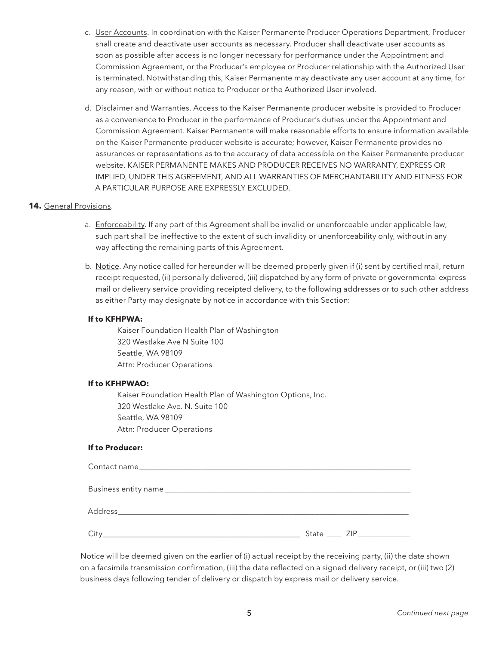- c. User Accounts. In coordination with the Kaiser Permanente Producer Operations Department, Producer shall create and deactivate user accounts as necessary. Producer shall deactivate user accounts as soon as possible after access is no longer necessary for performance under the Appointment and Commission Agreement, or the Producer's employee or Producer relationship with the Authorized User is terminated. Notwithstanding this, Kaiser Permanente may deactivate any user account at any time, for any reason, with or without notice to Producer or the Authorized User involved.
- d. Disclaimer and Warranties. Access to the Kaiser Permanente producer website is provided to Producer as a convenience to Producer in the performance of Producer's duties under the Appointment and Commission Agreement. Kaiser Permanente will make reasonable efforts to ensure information available on the Kaiser Permanente producer website is accurate; however, Kaiser Permanente provides no assurances or representations as to the accuracy of data accessible on the Kaiser Permanente producer website. KAISER PERMANENTE MAKES AND PRODUCER RECEIVES NO WARRANTY, EXPRESS OR IMPLIED, UNDER THIS AGREEMENT, AND ALL WARRANTIES OF MERCHANTABILITY AND FITNESS FOR A PARTICULAR PURPOSE ARE EXPRESSLY EXCLUDED.

#### **14.** General Provisions.

- a. Enforceability. If any part of this Agreement shall be invalid or unenforceable under applicable law, such part shall be ineffective to the extent of such invalidity or unenforceability only, without in any way affecting the remaining parts of this Agreement.
- b. Notice. Any notice called for hereunder will be deemed properly given if (i) sent by certified mail, return receipt requested, (ii) personally delivered, (iii) dispatched by any form of private or governmental express mail or delivery service providing receipted delivery, to the following addresses or to such other address as either Party may designate by notice in accordance with this Section:

#### **If to KFHPWA:**

 Kaiser Foundation Health Plan of Washington 320 Westlake Ave N Suite 100 Seattle, WA 98109 Attn: Producer Operations

#### **If to KFHPWAO:**

 Kaiser Foundation Health Plan of Washington Options, Inc. 320 Westlake Ave. N. Suite 100 Seattle, WA 98109 Attn: Producer Operations

#### **If to Producer:**

| City<br><u> 1980 - Johann John Stoff, deutscher Stoff und der Stoff und der Stoff und der Stoff und der Stoff und der Sto</u> | State ZIP |
|-------------------------------------------------------------------------------------------------------------------------------|-----------|

 Notice will be deemed given on the earlier of (i) actual receipt by the receiving party, (ii) the date shown on a facsimile transmission confirmation, (iii) the date reflected on a signed delivery receipt, or (iii) two (2) business days following tender of delivery or dispatch by express mail or delivery service.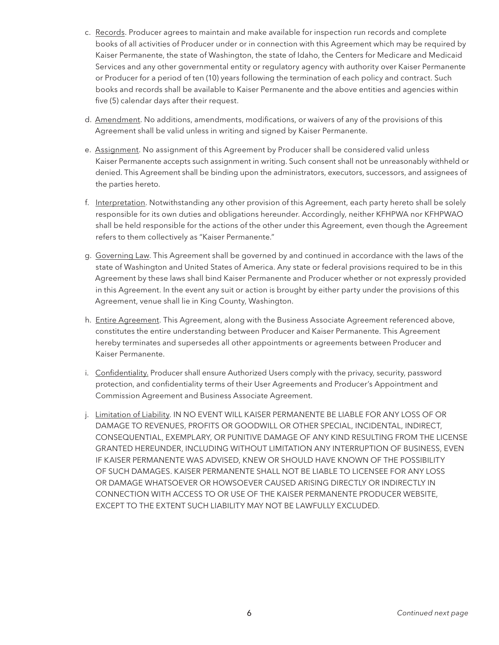- c. Records. Producer agrees to maintain and make available for inspection run records and complete books of all activities of Producer under or in connection with this Agreement which may be required by Kaiser Permanente, the state of Washington, the state of Idaho, the Centers for Medicare and Medicaid Services and any other governmental entity or regulatory agency with authority over Kaiser Permanente or Producer for a period of ten (10) years following the termination of each policy and contract. Such books and records shall be available to Kaiser Permanente and the above entities and agencies within five (5) calendar days after their request.
- d. Amendment. No additions, amendments, modifications, or waivers of any of the provisions of this Agreement shall be valid unless in writing and signed by Kaiser Permanente.
- e. Assignment. No assignment of this Agreement by Producer shall be considered valid unless Kaiser Permanente accepts such assignment in writing. Such consent shall not be unreasonably withheld or denied. This Agreement shall be binding upon the administrators, executors, successors, and assignees of the parties hereto.
- f. Interpretation. Notwithstanding any other provision of this Agreement, each party hereto shall be solely responsible for its own duties and obligations hereunder. Accordingly, neither KFHPWA nor KFHPWAO shall be held responsible for the actions of the other under this Agreement, even though the Agreement refers to them collectively as "Kaiser Permanente."
- g. Governing Law. This Agreement shall be governed by and continued in accordance with the laws of the state of Washington and United States of America. Any state or federal provisions required to be in this Agreement by these laws shall bind Kaiser Permanente and Producer whether or not expressly provided in this Agreement. In the event any suit or action is brought by either party under the provisions of this Agreement, venue shall lie in King County, Washington.
- h. **Entire Agreement**. This Agreement, along with the Business Associate Agreement referenced above, constitutes the entire understanding between Producer and Kaiser Permanente. This Agreement hereby terminates and supersedes all other appointments or agreements between Producer and Kaiser Permanente.
- i. Confidentiality. Producer shall ensure Authorized Users comply with the privacy, security, password protection, and confidentiality terms of their User Agreements and Producer's Appointment and Commission Agreement and Business Associate Agreement.
- j. Limitation of Liability. IN NO EVENT WILL KAISER PERMANENTE BE LIABLE FOR ANY LOSS OF OR DAMAGE TO REVENUES, PROFITS OR GOODWILL OR OTHER SPECIAL, INCIDENTAL, INDIRECT, CONSEQUENTIAL, EXEMPLARY, OR PUNITIVE DAMAGE OF ANY KIND RESULTING FROM THE LICENSE GRANTED HEREUNDER, INCLUDING WITHOUT LIMITATION ANY INTERRUPTION OF BUSINESS, EVEN IF KAISER PERMANENTE WAS ADVISED, KNEW OR SHOULD HAVE KNOWN OF THE POSSIBILITY OF SUCH DAMAGES. KAISER PERMANENTE SHALL NOT BE LIABLE TO LICENSEE FOR ANY LOSS OR DAMAGE WHATSOEVER OR HOWSOEVER CAUSED ARISING DIRECTLY OR INDIRECTLY IN CONNECTION WITH ACCESS TO OR USE OF THE KAISER PERMANENTE PRODUCER WEBSITE, EXCEPT TO THE EXTENT SUCH LIABILITY MAY NOT BE LAWFULLY EXCLUDED.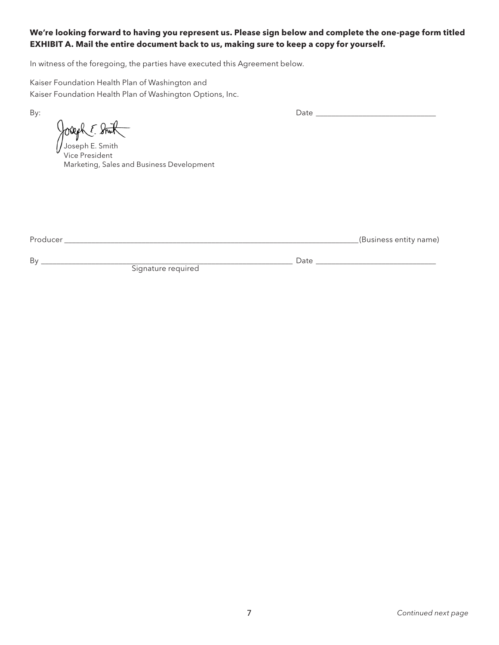### **We're looking forward to having you represent us. Please sign below and complete the one-page form titled EXHIBIT A. Mail the entire document back to us, making sure to keep a copy for yourself.**

In witness of the foregoing, the parties have executed this Agreement below.

Kaiser Foundation Health Plan of Washington and Kaiser Foundation Health Plan of Washington Options, Inc.

Joseph E. Smith

Vice President Marketing, Sales and Business Development

Producer \_\_\_\_\_\_\_\_\_\_\_\_\_\_\_\_\_\_\_\_\_\_\_\_\_\_\_\_\_\_\_\_\_\_\_\_\_\_\_\_\_\_\_\_\_\_\_\_\_\_\_\_\_\_\_\_\_\_\_\_\_\_\_\_\_\_\_\_\_\_\_\_\_\_\_\_(Business entity name)

By \_\_\_\_\_\_\_\_\_\_\_\_\_\_\_\_\_\_\_\_\_\_\_\_\_\_\_\_\_\_\_\_\_\_\_\_\_\_\_\_\_\_\_\_\_\_\_\_\_\_\_\_\_\_\_\_\_\_\_\_\_\_\_\_\_ Date \_\_\_\_\_\_\_\_\_\_\_\_\_\_\_\_\_\_\_\_\_\_\_\_\_\_\_\_\_\_\_ Signature required

By: Date \_\_\_\_\_\_\_\_\_\_\_\_\_\_\_\_\_\_\_\_\_\_\_\_\_\_\_\_\_\_\_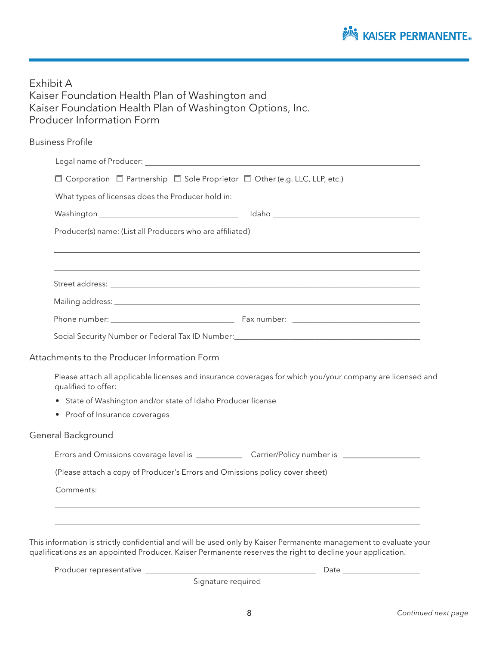

Exhibit A Kaiser Foundation Health Plan of Washington and Kaiser Foundation Health Plan of Washington Options, Inc. Producer Information Form

| <b>Business Profile</b>                                                                                              |                                                                                                           |  |  |
|----------------------------------------------------------------------------------------------------------------------|-----------------------------------------------------------------------------------------------------------|--|--|
| Legal name of Producer: Legal name of Producer: Legal name of Producer: Legal name of Producer: Legal name of $\sim$ |                                                                                                           |  |  |
| $\Box$ Corporation $\Box$ Partnership $\Box$ Sole Proprietor $\Box$ Other (e.g. LLC, LLP, etc.)                      |                                                                                                           |  |  |
| What types of licenses does the Producer hold in:                                                                    |                                                                                                           |  |  |
|                                                                                                                      |                                                                                                           |  |  |
| Producer(s) name: (List all Producers who are affiliated)                                                            |                                                                                                           |  |  |
|                                                                                                                      |                                                                                                           |  |  |
|                                                                                                                      |                                                                                                           |  |  |
|                                                                                                                      |                                                                                                           |  |  |
|                                                                                                                      |                                                                                                           |  |  |
|                                                                                                                      | Social Security Number or Federal Tax ID Number: ________________________________                         |  |  |
| Attachments to the Producer Information Form                                                                         |                                                                                                           |  |  |
| qualified to offer:                                                                                                  | Please attach all applicable licenses and insurance coverages for which you/your company are licensed and |  |  |
| • State of Washington and/or state of Idaho Producer license                                                         |                                                                                                           |  |  |
| • Proof of Insurance coverages                                                                                       |                                                                                                           |  |  |
| General Background                                                                                                   |                                                                                                           |  |  |
|                                                                                                                      |                                                                                                           |  |  |
| (Please attach a copy of Producer's Errors and Omissions policy cover sheet)                                         |                                                                                                           |  |  |
| Comments:                                                                                                            |                                                                                                           |  |  |
|                                                                                                                      |                                                                                                           |  |  |

This information is strictly confidential and will be used only by Kaiser Permanente management to evaluate your qualifications as an appointed Producer. Kaiser Permanente reserves the right to decline your application.

Signature required

Producer representative \_\_\_\_\_\_\_\_\_\_\_\_\_\_\_\_\_\_\_\_\_\_\_\_\_\_\_\_\_\_\_\_\_\_\_\_\_\_\_\_\_\_\_\_ Date \_\_\_\_\_\_\_\_\_\_\_\_\_\_\_\_\_\_\_\_